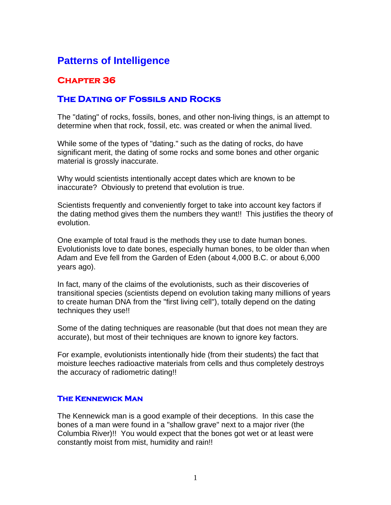# **Patterns of Intelligence**

## **Chapter 36**

### **The Dating of Fossils and Rocks**

The "dating" of rocks, fossils, bones, and other non-living things, is an attempt to determine when that rock, fossil, etc. was created or when the animal lived.

While some of the types of "dating." such as the dating of rocks, do have significant merit, the dating of some rocks and some bones and other organic material is grossly inaccurate.

Why would scientists intentionally accept dates which are known to be inaccurate? Obviously to pretend that evolution is true.

Scientists frequently and conveniently forget to take into account key factors if the dating method gives them the numbers they want!! This justifies the theory of evolution.

One example of total fraud is the methods they use to date human bones. Evolutionists love to date bones, especially human bones, to be older than when Adam and Eve fell from the Garden of Eden (about 4,000 B.C. or about 6,000 years ago).

In fact, many of the claims of the evolutionists, such as their discoveries of transitional species (scientists depend on evolution taking many millions of years to create human DNA from the "first living cell"), totally depend on the dating techniques they use!!

Some of the dating techniques are reasonable (but that does not mean they are accurate), but most of their techniques are known to ignore key factors.

For example, evolutionists intentionally hide (from their students) the fact that moisture leeches radioactive materials from cells and thus completely destroys the accuracy of radiometric dating!!

#### **The Kennewick Man**

The Kennewick man is a good example of their deceptions. In this case the bones of a man were found in a "shallow grave" next to a major river (the Columbia River)!! You would expect that the bones got wet or at least were constantly moist from mist, humidity and rain!!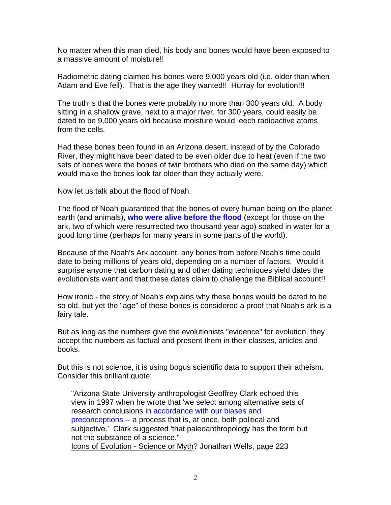No matter when this man died, his body and bones would have been exposed to a massive amount of moisture!!

Radiometric dating claimed his bones were 9,000 years old (i.e. older than when Adam and Eve fell). That is the age they wanted!! Hurray for evolution!!!

The truth is that the bones were probably no more than 300 years old. A body sitting in a shallow grave, next to a major river, for 300 years, could easily be dated to be 9,000 years old because moisture would leech radioactive atoms from the cells.

Had these bones been found in an Arizona desert, instead of by the Colorado River, they might have been dated to be even older due to heat (even if the two sets of bones were the bones of twin brothers who died on the same day) which would make the bones look far older than they actually were.

Now let us talk about the flood of Noah.

The flood of Noah guaranteed that the bones of every human being on the planet earth (and animals), **who were alive before the flood** (except for those on the ark, two of which were resurrected two thousand year ago) soaked in water for a good long time (perhaps for many years in some parts of the world).

Because of the Noah's Ark account, any bones from before Noah's time could date to being millions of years old, depending on a number of factors. Would it surprise anyone that carbon dating and other dating techniques yield dates the evolutionists want and that these dates claim to challenge the Biblical account!!

How ironic - the story of Noah's explains why these bones would be dated to be so old, but yet the "age" of these bones is considered a proof that Noah's ark is a fairy tale.

But as long as the numbers give the evolutionists "evidence" for evolution, they accept the numbers as factual and present them in their classes, articles and books.

But this is not science, it is using bogus scientific data to support their atheism. Consider this brilliant quote:

"Arizona State University anthropologist Geoffrey Clark echoed this view in 1997 when he wrote that 'we select among alternative sets of research conclusions in accordance with our biases and preconceptions -- a process that is, at once, both political and subjective.' Clark suggested 'that paleoanthropology has the form but not the substance of a science." Icons of Evolution - Science or Myth? Jonathan Wells, page 223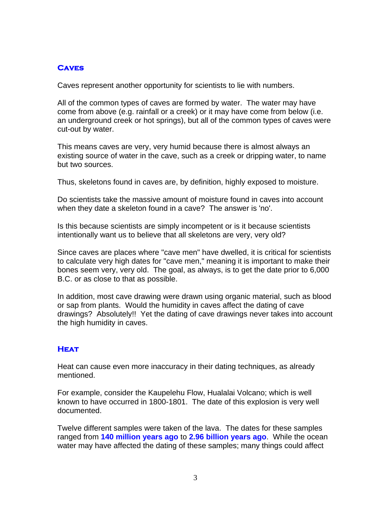#### **Caves**

Caves represent another opportunity for scientists to lie with numbers.

All of the common types of caves are formed by water. The water may have come from above (e.g. rainfall or a creek) or it may have come from below (i.e. an underground creek or hot springs), but all of the common types of caves were cut-out by water.

This means caves are very, very humid because there is almost always an existing source of water in the cave, such as a creek or dripping water, to name but two sources.

Thus, skeletons found in caves are, by definition, highly exposed to moisture.

Do scientists take the massive amount of moisture found in caves into account when they date a skeleton found in a cave? The answer is 'no'.

Is this because scientists are simply incompetent or is it because scientists intentionally want us to believe that all skeletons are very, very old?

Since caves are places where "cave men" have dwelled, it is critical for scientists to calculate very high dates for "cave men," meaning it is important to make their bones seem very, very old. The goal, as always, is to get the date prior to 6,000 B.C. or as close to that as possible.

In addition, most cave drawing were drawn using organic material, such as blood or sap from plants. Would the humidity in caves affect the dating of cave drawings? Absolutely!! Yet the dating of cave drawings never takes into account the high humidity in caves.

#### **Heat**

Heat can cause even more inaccuracy in their dating techniques, as already mentioned.

For example, consider the Kaupelehu Flow, Hualalai Volcano; which is well known to have occurred in 1800-1801. The date of this explosion is very well documented.

Twelve different samples were taken of the lava. The dates for these samples ranged from **140 million years ago** to **2.96 billion years ago**. While the ocean water may have affected the dating of these samples; many things could affect